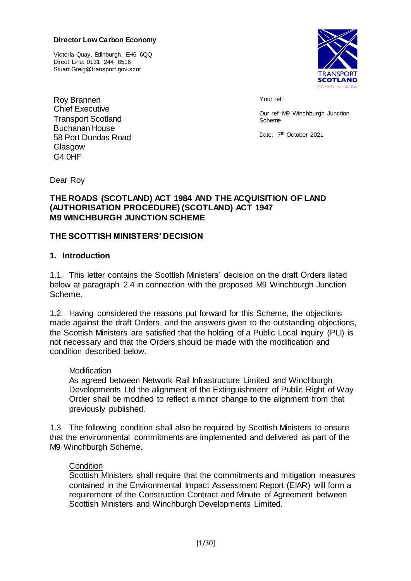#### **Director Low Carbon Economy**

Victoria Quay, Edinburgh, EH6 6QQ Direct Line: 0131 244 8516 Stuart.Greig@transport.gov.scot



Roy Brannen Chief Executive Transport Scotland Buchanan House 58 Port Dundas Road Glasgow G4 0HF

Your ref:

Our ref: M9 Winchburgh Junction Scheme

Date: 7<sup>th</sup> October 2021

Dear Roy

#### **THE ROADS (SCOTLAND) ACT 1984 AND THE ACQUISITION OF LAND (AUTHORISATION PROCEDURE) (SCOTLAND) ACT 1947 M9 WINCHBURGH JUNCTION SCHEME**

#### **THE SCOTTISH MINISTERS' DECISION**

#### **1. Introduction**

1.1. This letter contains the Scottish Ministers' decision on the draft Orders listed below at paragraph 2.4 in connection with the proposed M9 Winchburgh Junction Scheme.

1.2. Having considered the reasons put forward for this Scheme, the objections made against the draft Orders, and the answers given to the outstanding objections, the Scottish Ministers are satisfied that the holding of a Public Local Inquiry (PLI) is not necessary and that the Orders should be made with the modification and condition described below.

#### **Modification**

As agreed between Network Rail Infrastructure Limited and Winchburgh Developments Ltd the alignment of the Extinguishment of Public Right of Way Order shall be modified to reflect a minor change to the alignment from that previously published.

1.3. The following condition shall also be required by Scottish Ministers to ensure that the environmental commitments are implemented and delivered as part of the M9 Winchburgh Scheme.

#### **Condition**

Scottish Ministers shall require that the commitments and mitigation measures contained in the Environmental Impact Assessment Report (EIAR) will form a requirement of the Construction Contract and Minute of Agreement between Scottish Ministers and Winchburgh Developments Limited.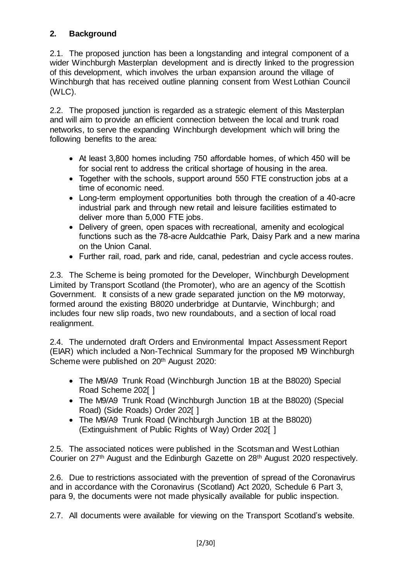### **2. Background**

2.1. The proposed junction has been a longstanding and integral component of a wider Winchburgh Masterplan development and is directly linked to the progression of this development, which involves the urban expansion around the village of Winchburgh that has received outline planning consent from West Lothian Council (WLC).

2.2. The proposed junction is regarded as a strategic element of this Masterplan and will aim to provide an efficient connection between the local and trunk road networks, to serve the expanding Winchburgh development which will bring the following benefits to the area:

- At least 3,800 homes including 750 affordable homes, of which 450 will be for social rent to address the critical shortage of housing in the area.
- Together with the schools, support around 550 FTE construction jobs at a time of economic need.
- Long-term employment opportunities both through the creation of a 40-acre industrial park and through new retail and leisure facilities estimated to deliver more than 5,000 FTE jobs.
- Delivery of green, open spaces with recreational, amenity and ecological functions such as the 78-acre Auldcathie Park, Daisy Park and a new marina on the Union Canal.
- Further rail, road, park and ride, canal, pedestrian and cycle access routes.

2.3. The Scheme is being promoted for the Developer, Winchburgh Development Limited by Transport Scotland (the Promoter), who are an agency of the Scottish Government. It consists of a new grade separated junction on the M9 motorway, formed around the existing B8020 underbridge at Duntarvie, Winchburgh; and includes four new slip roads, two new roundabouts, and a section of local road realignment.

2.4. The undernoted draft Orders and Environmental Impact Assessment Report (EIAR) which included a Non-Technical Summary for the proposed M9 Winchburgh Scheme were published on 20<sup>th</sup> August 2020:

- The M9/A9 Trunk Road (Winchburgh Junction 1B at the B8020) Special Road Scheme 202[ ]
- The M9/A9 Trunk Road (Winchburgh Junction 1B at the B8020) (Special Road) (Side Roads) Order 202[ ]
- The M9/A9 Trunk Road (Winchburgh Junction 1B at the B8020) (Extinguishment of Public Rights of Way) Order 202[ ]

2.5. The associated notices were published in the Scotsman and West Lothian Courier on 27th August and the Edinburgh Gazette on 28th August 2020 respectively.

2.6. Due to restrictions associated with the prevention of spread of the Coronavirus and in accordance with the Coronavirus (Scotland) Act 2020, Schedule 6 Part 3, para 9, the documents were not made physically available for public inspection.

2.7. All documents were available for viewing on the Transport Scotland's website.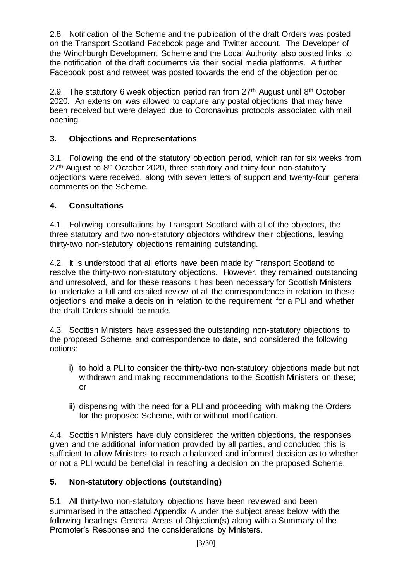2.8. Notification of the Scheme and the publication of the draft Orders was posted on the Transport Scotland Facebook page and Twitter account. The Developer of the Winchburgh Development Scheme and the Local Authority also posted links to the notification of the draft documents via their social media platforms. A further Facebook post and retweet was posted towards the end of the objection period.

2.9. The statutory 6 week objection period ran from  $27<sup>th</sup>$  August until 8<sup>th</sup> October 2020. An extension was allowed to capture any postal objections that may have been received but were delayed due to Coronavirus protocols associated with mail opening.

### **3. Objections and Representations**

3.1. Following the end of the statutory objection period, which ran for six weeks from 27<sup>th</sup> August to 8<sup>th</sup> October 2020, three statutory and thirty-four non-statutory objections were received, along with seven letters of support and twenty-four general comments on the Scheme.

### **4. Consultations**

4.1. Following consultations by Transport Scotland with all of the objectors, the three statutory and two non-statutory objectors withdrew their objections, leaving thirty-two non-statutory objections remaining outstanding.

4.2. It is understood that all efforts have been made by Transport Scotland to resolve the thirty-two non-statutory objections. However, they remained outstanding and unresolved, and for these reasons it has been necessary for Scottish Ministers to undertake a full and detailed review of all the correspondence in relation to these objections and make a decision in relation to the requirement for a PLI and whether the draft Orders should be made.

4.3. Scottish Ministers have assessed the outstanding non-statutory objections to the proposed Scheme, and correspondence to date, and considered the following options:

- i) to hold a PLI to consider the thirty-two non-statutory objections made but not withdrawn and making recommendations to the Scottish Ministers on these; or
- ii) dispensing with the need for a PLI and proceeding with making the Orders for the proposed Scheme, with or without modification.

4.4. Scottish Ministers have duly considered the written objections, the responses given and the additional information provided by all parties, and concluded this is sufficient to allow Ministers to reach a balanced and informed decision as to whether or not a PLI would be beneficial in reaching a decision on the proposed Scheme.

#### **5. Non-statutory objections (outstanding)**

5.1. All thirty-two non-statutory objections have been reviewed and been summarised in the attached Appendix A under the subject areas below with the following headings General Areas of Objection(s) along with a Summary of the Promoter's Response and the considerations by Ministers.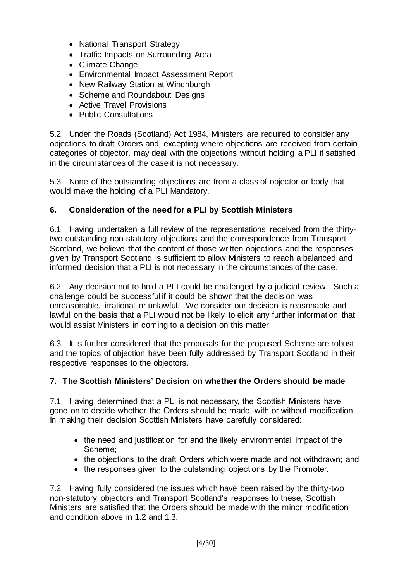- National Transport Strategy
- Traffic Impacts on Surrounding Area
- Climate Change
- Environmental Impact Assessment Report
- New Railway Station at Winchburgh
- Scheme and Roundabout Designs
- Active Travel Provisions
- Public Consultations

5.2. Under the Roads (Scotland) Act 1984, Ministers are required to consider any objections to draft Orders and, excepting where objections are received from certain categories of objector, may deal with the objections without holding a PLI if satisfied in the circumstances of the case it is not necessary.

5.3. None of the outstanding objections are from a class of objector or body that would make the holding of a PLI Mandatory.

### **6. Consideration of the need for a PLI by Scottish Ministers**

6.1. Having undertaken a full review of the representations received from the thirtytwo outstanding non-statutory objections and the correspondence from Transport Scotland, we believe that the content of those written objections and the responses given by Transport Scotland is sufficient to allow Ministers to reach a balanced and informed decision that a PLI is not necessary in the circumstances of the case.

6.2. Any decision not to hold a PLI could be challenged by a judicial review. Such a challenge could be successful if it could be shown that the decision was unreasonable, irrational or unlawful. We consider our decision is reasonable and lawful on the basis that a PLI would not be likely to elicit any further information that would assist Ministers in coming to a decision on this matter.

6.3. It is further considered that the proposals for the proposed Scheme are robust and the topics of objection have been fully addressed by Transport Scotland in their respective responses to the objectors.

#### **7. The Scottish Ministers' Decision on whether the Orders should be made**

7.1. Having determined that a PLI is not necessary, the Scottish Ministers have gone on to decide whether the Orders should be made, with or without modification. In making their decision Scottish Ministers have carefully considered:

- the need and justification for and the likely environmental impact of the Scheme;
- the objections to the draft Orders which were made and not withdrawn; and
- the responses given to the outstanding objections by the Promoter.

7.2. Having fully considered the issues which have been raised by the thirty-two non-statutory objectors and Transport Scotland's responses to these, Scottish Ministers are satisfied that the Orders should be made with the minor modification and condition above in 1.2 and 1.3.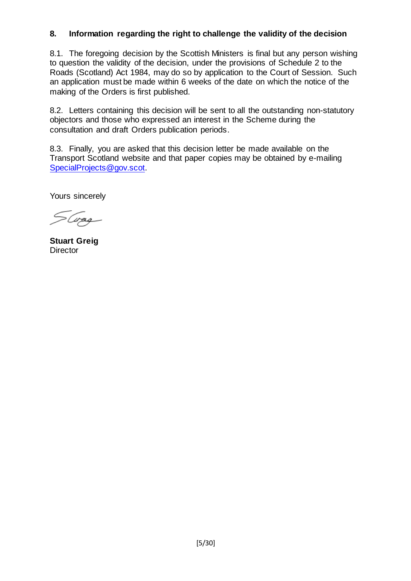### **8. Information regarding the right to challenge the validity of the decision**

8.1. The foregoing decision by the Scottish Ministers is final but any person wishing to question the validity of the decision, under the provisions of Schedule 2 to the Roads (Scotland) Act 1984, may do so by application to the Court of Session. Such an application must be made within 6 weeks of the date on which the notice of the making of the Orders is first published.

8.2. Letters containing this decision will be sent to all the outstanding non-statutory objectors and those who expressed an interest in the Scheme during the consultation and draft Orders publication periods.

8.3. Finally, you are asked that this decision letter be made available on the Transport Scotland website and that paper copies may be obtained by e-mailing [SpecialProjects@gov.scot.](mailto:SpecialProjects@gov.scot)

Yours sincerely

SGrag

**Stuart Greig Director**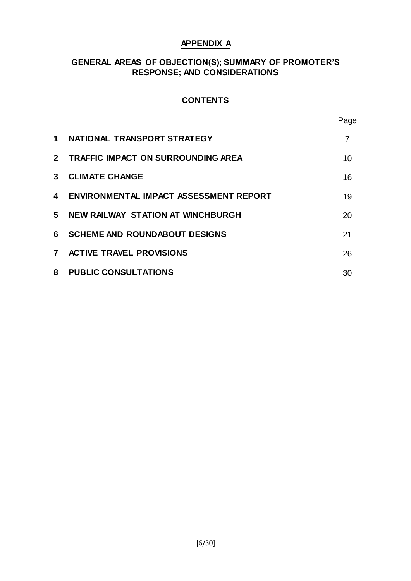#### **APPENDIX A**

#### **GENERAL AREAS OF OBJECTION(S); SUMMARY OF PROMOTER'S RESPONSE; AND CONSIDERATIONS**

#### **CONTENTS**

| 1            | NATIONAL TRANSPORT STRATEGY                   |    |
|--------------|-----------------------------------------------|----|
|              | 2 TRAFFIC IMPACT ON SURROUNDING AREA          | 10 |
| 3            | <b>CLIMATE CHANGE</b>                         | 16 |
| 4            | <b>ENVIRONMENTAL IMPACT ASSESSMENT REPORT</b> | 19 |
| 5.           | NEW RAILWAY STATION AT WINCHBURGH             | 20 |
| 6.           | <b>SCHEME AND ROUNDABOUT DESIGNS</b>          | 21 |
| $\mathbf{7}$ | <b>ACTIVE TRAVEL PROVISIONS</b>               | 26 |

Page

| 8 PUBLIC CONSULTATIONS |  |
|------------------------|--|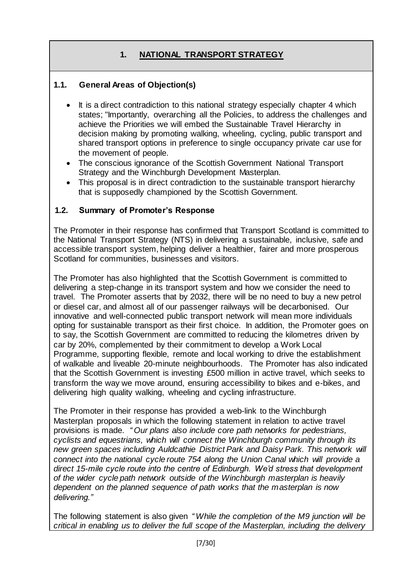## **1. NATIONAL TRANSPORT STRATEGY**

### **1.1. General Areas of Objection(s)**

- It is a direct contradiction to this national strategy especially chapter 4 which states; "Importantly, overarching all the Policies, to address the challenges and achieve the Priorities we will embed the Sustainable Travel Hierarchy in decision making by promoting walking, wheeling, cycling, public transport and shared transport options in preference to single occupancy private car use for the movement of people.
- The conscious ignorance of the Scottish Government National Transport Strategy and the Winchburgh Development Masterplan.
- This proposal is in direct contradiction to the sustainable transport hierarchy that is supposedly championed by the Scottish Government.

#### **1.2. Summary of Promoter's Response**

The Promoter in their response has confirmed that Transport Scotland is committed to the National Transport Strategy (NTS) in delivering a sustainable, inclusive, safe and accessible transport system, helping deliver a healthier, fairer and more prosperous Scotland for communities, businesses and visitors.

The Promoter has also highlighted that the Scottish Government is committed to delivering a step-change in its transport system and how we consider the need to travel. The Promoter asserts that by 2032, there will be no need to buy a new petrol or diesel car, and almost all of our passenger railways will be decarbonised. Our innovative and well-connected public transport network will mean more individuals opting for sustainable transport as their first choice. In addition, the Promoter goes on to say, the Scottish Government are committed to reducing the kilometres driven by car by 20%, complemented by their commitment to develop a Work Local Programme, supporting flexible, remote and local working to drive the establishment of walkable and liveable 20-minute neighbourhoods. The Promoter has also indicated that the Scottish Government is investing £500 million in active travel, which seeks to transform the way we move around, ensuring accessibility to bikes and e-bikes, and delivering high quality walking, wheeling and cycling infrastructure.

The Promoter in their response has provided a web-link to the Winchburgh Masterplan proposals in which the following statement in relation to active travel provisions is made. *" Our plans also include core path networks for pedestrians, cyclists and equestrians, which will connect the Winchburgh community through its new green spaces including Auldcathie District Park and Daisy Park. This network will connect into the national cycle route 754 along the Union Canal which will provide a direct 15-mile cycle route into the centre of Edinburgh. We'd stress that development of the wider cycle path network outside of the Winchburgh masterplan is heavily dependent on the planned sequence of path works that the masterplan is now delivering."*

The following statement is also given *" While the completion of the M9 junction will be critical in enabling us to deliver the full scope of the Masterplan, including the delivery*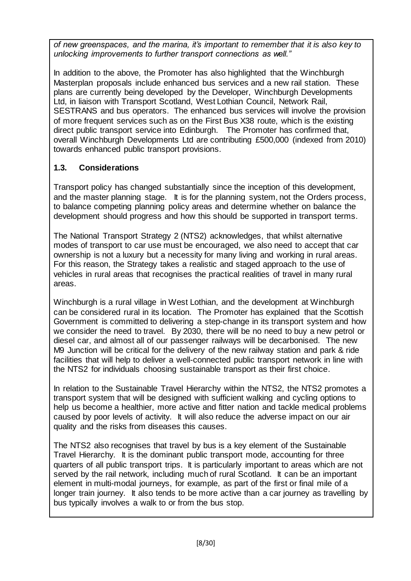*of new greenspaces, and the marina, it's important to remember that it is also key to unlocking improvements to further transport connections as well."*

In addition to the above, the Promoter has also highlighted that the Winchburgh Masterplan proposals include enhanced bus services and a new rail station. These plans are currently being developed by the Developer, Winchburgh Developments Ltd, in liaison with Transport Scotland, West Lothian Council, Network Rail, SESTRANS and bus operators. The enhanced bus services will involve the provision of more frequent services such as on the First Bus X38 route, which is the existing direct public transport service into Edinburgh. The Promoter has confirmed that, overall Winchburgh Developments Ltd are contributing £500,000 (indexed from 2010) towards enhanced public transport provisions.

## **1.3. Considerations**

Transport policy has changed substantially since the inception of this development, and the master planning stage. It is for the planning system, not the Orders process, to balance competing planning policy areas and determine whether on balance the development should progress and how this should be supported in transport terms.

The National Transport Strategy 2 (NTS2) acknowledges, that whilst alternative modes of transport to car use must be encouraged, we also need to accept that car ownership is not a luxury but a necessity for many living and working in rural areas. For this reason, the Strategy takes a realistic and staged approach to the use of vehicles in rural areas that recognises the practical realities of travel in many rural areas.

Winchburgh is a rural village in West Lothian, and the development at Winchburgh can be considered rural in its location. The Promoter has explained that the Scottish Government is committed to delivering a step-change in its transport system and how we consider the need to travel. By 2030, there will be no need to buy a new petrol or diesel car, and almost all of our passenger railways will be decarbonised. The new M9 Junction will be critical for the delivery of the new railway station and park & ride facilities that will help to deliver a well-connected public transport network in line with the NTS2 for individuals choosing sustainable transport as their first choice.

In relation to the Sustainable Travel Hierarchy within the NTS2, the NTS2 promotes a transport system that will be designed with sufficient walking and cycling options to help us become a healthier, more active and fitter nation and tackle medical problems caused by poor levels of activity. It will also reduce the adverse impact on our air quality and the risks from diseases this causes.

The NTS2 also recognises that travel by bus is a key element of the Sustainable Travel Hierarchy. It is the dominant public transport mode, accounting for three quarters of all public transport trips. It is particularly important to areas which are not served by the rail network, including much of rural Scotland. It can be an important element in multi-modal journeys, for example, as part of the first or final mile of a longer train journey. It also tends to be more active than a car journey as travelling by bus typically involves a walk to or from the bus stop.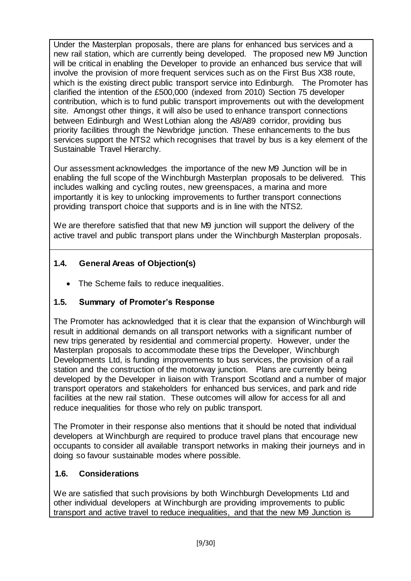Under the Masterplan proposals, there are plans for enhanced bus services and a new rail station, which are currently being developed. The proposed new M9 Junction will be critical in enabling the Developer to provide an enhanced bus service that will involve the provision of more frequent services such as on the First Bus X38 route, which is the existing direct public transport service into Edinburgh. The Promoter has clarified the intention of the £500,000 (indexed from 2010) Section 75 developer contribution, which is to fund public transport improvements out with the development site. Amongst other things, it will also be used to enhance transport connections between Edinburgh and West Lothian along the A8/A89 corridor, providing bus priority facilities through the Newbridge junction. These enhancements to the bus services support the NTS2 which recognises that travel by bus is a key element of the Sustainable Travel Hierarchy.

Our assessment acknowledges the importance of the new M9 Junction will be in enabling the full scope of the Winchburgh Masterplan proposals to be delivered. This includes walking and cycling routes, new greenspaces, a marina and more importantly it is key to unlocking improvements to further transport connections providing transport choice that supports and is in line with the NTS2.

We are therefore satisfied that that new M9 junction will support the delivery of the active travel and public transport plans under the Winchburgh Masterplan proposals.

### **1.4. General Areas of Objection(s)**

• The Scheme fails to reduce inequalities.

## **1.5. Summary of Promoter's Response**

The Promoter has acknowledged that it is clear that the expansion of Winchburgh will result in additional demands on all transport networks with a significant number of new trips generated by residential and commercial property. However, under the Masterplan proposals to accommodate these trips the Developer, Winchburgh Developments Ltd, is funding improvements to bus services, the provision of a rail station and the construction of the motorway junction. Plans are currently being developed by the Developer in liaison with Transport Scotland and a number of major transport operators and stakeholders for enhanced bus services, and park and ride facilities at the new rail station. These outcomes will allow for access for all and reduce inequalities for those who rely on public transport.

The Promoter in their response also mentions that it should be noted that individual developers at Winchburgh are required to produce travel plans that encourage new occupants to consider all available transport networks in making their journeys and in doing so favour sustainable modes where possible.

### **1.6. Considerations**

We are satisfied that such provisions by both Winchburgh Developments Ltd and other individual developers at Winchburgh are providing improvements to public transport and active travel to reduce inequalities, and that the new M9 Junction is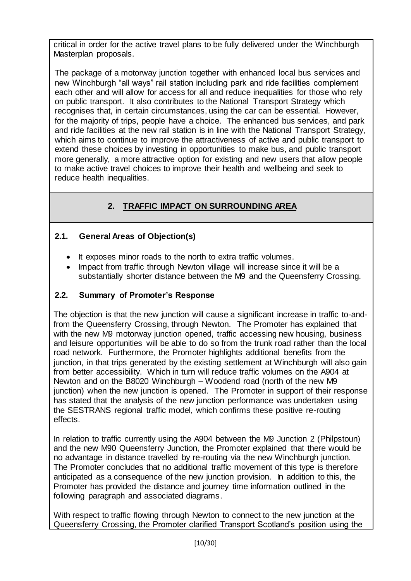critical in order for the active travel plans to be fully delivered under the Winchburgh Masterplan proposals.

The package of a motorway junction together with enhanced local bus services and new Winchburgh "all ways" rail station including park and ride facilities complement each other and will allow for access for all and reduce inequalities for those who rely on public transport. It also contributes to the National Transport Strategy which recognises that, in certain circumstances, using the car can be essential. However, for the majority of trips, people have a choice. The enhanced bus services, and park and ride facilities at the new rail station is in line with the National Transport Strategy, which aims to continue to improve the attractiveness of active and public transport to extend these choices by investing in opportunities to make bus, and public transport more generally, a more attractive option for existing and new users that allow people to make active travel choices to improve their health and wellbeing and seek to reduce health inequalities.

# **2. TRAFFIC IMPACT ON SURROUNDING AREA**

## **2.1. General Areas of Objection(s)**

- It exposes minor roads to the north to extra traffic volumes.
- Impact from traffic through Newton village will increase since it will be a substantially shorter distance between the M9 and the Queensferry Crossing.

### **2.2. Summary of Promoter's Response**

The objection is that the new junction will cause a significant increase in traffic to-andfrom the Queensferry Crossing, through Newton. The Promoter has explained that with the new M9 motorway junction opened, traffic accessing new housing, business and leisure opportunities will be able to do so from the trunk road rather than the local road network. Furthermore, the Promoter highlights additional benefits from the junction, in that trips generated by the existing settlement at Winchburgh will also gain from better accessibility. Which in turn will reduce traffic volumes on the A904 at Newton and on the B8020 Winchburgh – Woodend road (north of the new M9 junction) when the new junction is opened. The Promoter in support of their response has stated that the analysis of the new junction performance was undertaken using the SESTRANS regional traffic model, which confirms these positive re-routing effects.

In relation to traffic currently using the A904 between the M9 Junction 2 (Philpstoun) and the new M90 Queensferry Junction, the Promoter explained that there would be no advantage in distance travelled by re-routing via the new Winchburgh junction. The Promoter concludes that no additional traffic movement of this type is therefore anticipated as a consequence of the new junction provision. In addition to this, the Promoter has provided the distance and journey time information outlined in the following paragraph and associated diagrams.

With respect to traffic flowing through Newton to connect to the new junction at the Queensferry Crossing, the Promoter clarified Transport Scotland's position using the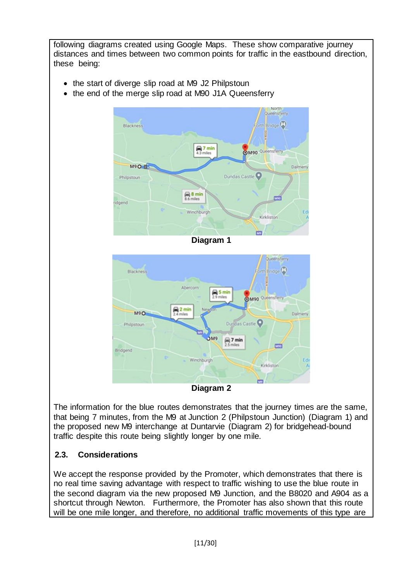

The information for the blue routes demonstrates that the journey times are the same, that being 7 minutes, from the M9 at Junction 2 (Philpstoun Junction) (Diagram 1) and the proposed new M9 interchange at Duntarvie (Diagram 2) for bridgehead-bound traffic despite this route being slightly longer by one mile.

### **2.3. Considerations**

We accept the response provided by the Promoter, which demonstrates that there is no real time saving advantage with respect to traffic wishing to use the blue route in the second diagram via the new proposed M9 Junction, and the B8020 and A904 as a shortcut through Newton. Furthermore, the Promoter has also shown that this route will be one mile longer, and therefore, no additional traffic movements of this type are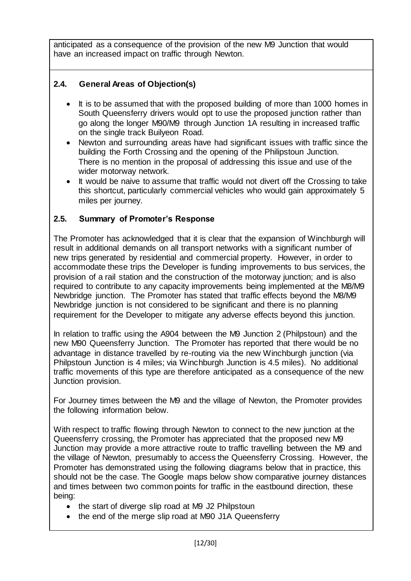anticipated as a consequence of the provision of the new M9 Junction that would have an increased impact on traffic through Newton.

## **2.4. General Areas of Objection(s)**

- It is to be assumed that with the proposed building of more than 1000 homes in South Queensferry drivers would opt to use the proposed junction rather than go along the longer M90/M9 through Junction 1A resulting in increased traffic on the single track Builyeon Road.
- Newton and surrounding areas have had significant issues with traffic since the building the Forth Crossing and the opening of the Philipstoun Junction. There is no mention in the proposal of addressing this issue and use of the wider motorway network.
- It would be naive to assume that traffic would not divert off the Crossing to take this shortcut, particularly commercial vehicles who would gain approximately 5 miles per journey.

### **2.5. Summary of Promoter's Response**

The Promoter has acknowledged that it is clear that the expansion of Winchburgh will result in additional demands on all transport networks with a significant number of new trips generated by residential and commercial property. However, in order to accommodate these trips the Developer is funding improvements to bus services, the provision of a rail station and the construction of the motorway junction; and is also required to contribute to any capacity improvements being implemented at the M8/M9 Newbridge junction. The Promoter has stated that traffic effects beyond the M8/M9 Newbridge junction is not considered to be significant and there is no planning requirement for the Developer to mitigate any adverse effects beyond this junction.

In relation to traffic using the A904 between the M9 Junction 2 (Philpstoun) and the new M90 Queensferry Junction. The Promoter has reported that there would be no advantage in distance travelled by re-routing via the new Winchburgh junction (via Philpstoun Junction is 4 miles; via Winchburgh Junction is 4.5 miles). No additional traffic movements of this type are therefore anticipated as a consequence of the new Junction provision.

For Journey times between the M9 and the village of Newton, the Promoter provides the following information below.

With respect to traffic flowing through Newton to connect to the new junction at the Queensferry crossing, the Promoter has appreciated that the proposed new M9 Junction may provide a more attractive route to traffic travelling between the M9 and the village of Newton, presumably to access the Queensferry Crossing. However, the Promoter has demonstrated using the following diagrams below that in practice, this should not be the case. The Google maps below show comparative journey distances and times between two common points for traffic in the eastbound direction, these being:

- the start of diverge slip road at M9 J2 Philpstoun
- the end of the merge slip road at M90 J1A Queensferry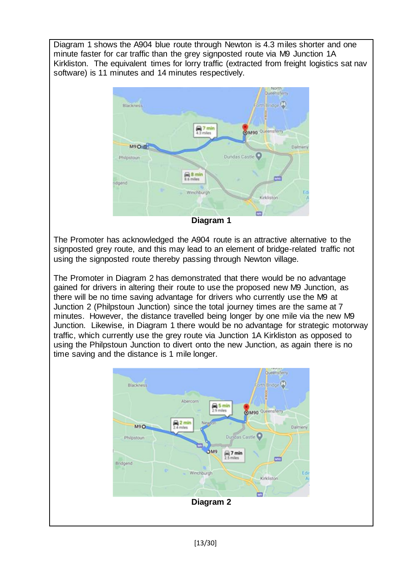Diagram 1 shows the A904 blue route through Newton is 4.3 miles shorter and one minute faster for car traffic than the grey signposted route via M9 Junction 1A Kirkliston. The equivalent times for lorry traffic (extracted from freight logistics sat nav software) is 11 minutes and 14 minutes respectively.



**Diagram 1**

The Promoter has acknowledged the A904 route is an attractive alternative to the signposted grey route, and this may lead to an element of bridge-related traffic not using the signposted route thereby passing through Newton village.

The Promoter in Diagram 2 has demonstrated that there would be no advantage gained for drivers in altering their route to use the proposed new M9 Junction, as there will be no time saving advantage for drivers who currently use the M9 at Junction 2 (Philpstoun Junction) since the total journey times are the same at 7 minutes. However, the distance travelled being longer by one mile via the new M9 Junction. Likewise, in Diagram 1 there would be no advantage for strategic motorway traffic, which currently use the grey route via Junction 1A Kirkliston as opposed to using the Philpstoun Junction to divert onto the new Junction, as again there is no time saving and the distance is 1 mile longer.

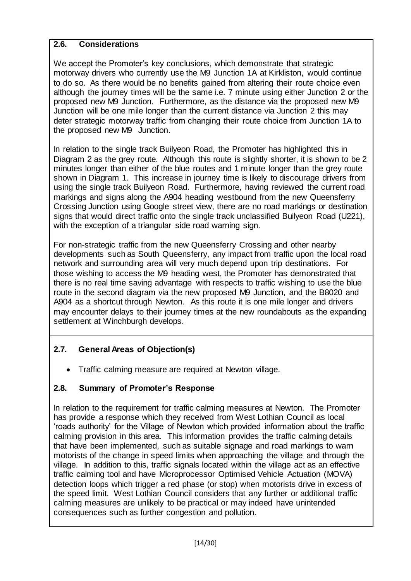### **2.6. Considerations**

We accept the Promoter's key conclusions, which demonstrate that strategic motorway drivers who currently use the M9 Junction 1A at Kirkliston, would continue to do so. As there would be no benefits gained from altering their route choice even although the journey times will be the same i.e. 7 minute using either Junction 2 or the proposed new M9 Junction. Furthermore, as the distance via the proposed new M9 Junction will be one mile longer than the current distance via Junction 2 this may deter strategic motorway traffic from changing their route choice from Junction 1A to the proposed new M9 Junction.

In relation to the single track Builyeon Road, the Promoter has highlighted this in Diagram 2 as the grey route. Although this route is slightly shorter, it is shown to be 2 minutes longer than either of the blue routes and 1 minute longer than the grey route shown in Diagram 1. This increase in journey time is likely to discourage drivers from using the single track Builyeon Road. Furthermore, having reviewed the current road markings and signs along the A904 heading westbound from the new Queensferry Crossing Junction using Google street view, there are no road markings or destination signs that would direct traffic onto the single track unclassified Builyeon Road (U221), with the exception of a triangular side road warning sign.

For non-strategic traffic from the new Queensferry Crossing and other nearby developments such as South Queensferry, any impact from traffic upon the local road network and surrounding area will very much depend upon trip destinations. For those wishing to access the M9 heading west, the Promoter has demonstrated that there is no real time saving advantage with respects to traffic wishing to use the blue route in the second diagram via the new proposed M9 Junction, and the B8020 and A904 as a shortcut through Newton. As this route it is one mile longer and drivers may encounter delays to their journey times at the new roundabouts as the expanding settlement at Winchburgh develops.

# **2.7. General Areas of Objection(s)**

• Traffic calming measure are required at Newton village.

## **2.8. Summary of Promoter's Response**

In relation to the requirement for traffic calming measures at Newton. The Promoter has provide a response which they received from West Lothian Council as local 'roads authority' for the Village of Newton which provided information about the traffic calming provision in this area. This information provides the traffic calming details that have been implemented, such as suitable signage and road markings to warn motorists of the change in speed limits when approaching the village and through the village. In addition to this, traffic signals located within the village act as an effective traffic calming tool and have Microprocessor Optimised Vehicle Actuation (MOVA) detection loops which trigger a red phase (or stop) when motorists drive in excess of the speed limit. West Lothian Council considers that any further or additional traffic calming measures are unlikely to be practical or may indeed have unintended consequences such as further congestion and pollution.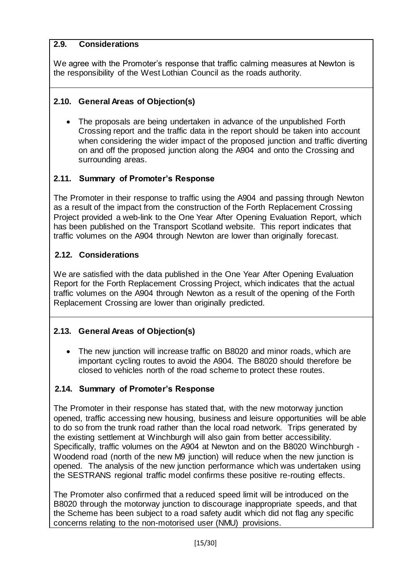### **2.9. Considerations**

We agree with the Promoter's response that traffic calming measures at Newton is the responsibility of the West Lothian Council as the roads authority.

### **2.10. General Areas of Objection(s)**

• The proposals are being undertaken in advance of the unpublished Forth Crossing report and the traffic data in the report should be taken into account when considering the wider impact of the proposed junction and traffic diverting on and off the proposed junction along the A904 and onto the Crossing and surrounding areas.

## **2.11. Summary of Promoter's Response**

The Promoter in their response to traffic using the A904 and passing through Newton as a result of the impact from the construction of the Forth Replacement Crossing Project provided a web-link to the One Year After Opening Evaluation Report, which has been published on the Transport Scotland website. This report indicates that traffic volumes on the A904 through Newton are lower than originally forecast.

## **2.12. Considerations**

We are satisfied with the data published in the One Year After Opening Evaluation Report for the Forth Replacement Crossing Project, which indicates that the actual traffic volumes on the A904 through Newton as a result of the opening of the Forth Replacement Crossing are lower than originally predicted.

## **2.13. General Areas of Objection(s)**

• The new junction will increase traffic on B8020 and minor roads, which are important cycling routes to avoid the A904. The B8020 should therefore be closed to vehicles north of the road scheme to protect these routes.

## **2.14. Summary of Promoter's Response**

The Promoter in their response has stated that, with the new motorway junction opened, traffic accessing new housing, business and leisure opportunities will be able to do so from the trunk road rather than the local road network. Trips generated by the existing settlement at Winchburgh will also gain from better accessibility. Specifically, traffic volumes on the A904 at Newton and on the B8020 Winchburgh - Woodend road (north of the new M9 junction) will reduce when the new junction is opened. The analysis of the new junction performance which was undertaken using the SESTRANS regional traffic model confirms these positive re-routing effects.

The Promoter also confirmed that a reduced speed limit will be introduced on the B8020 through the motorway junction to discourage inappropriate speeds, and that the Scheme has been subject to a road safety audit which did not flag any specific concerns relating to the non-motorised user (NMU) provisions.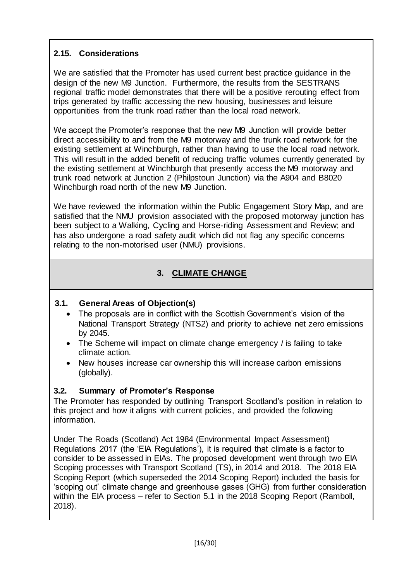## **2.15. Considerations**

We are satisfied that the Promoter has used current best practice guidance in the design of the new M9 Junction. Furthermore, the results from the SESTRANS regional traffic model demonstrates that there will be a positive rerouting effect from trips generated by traffic accessing the new housing, businesses and leisure opportunities from the trunk road rather than the local road network.

We accept the Promoter's response that the new M9 Junction will provide better direct accessibility to and from the M9 motorway and the trunk road network for the existing settlement at Winchburgh, rather than having to use the local road network. This will result in the added benefit of reducing traffic volumes currently generated by the existing settlement at Winchburgh that presently access the M9 motorway and trunk road network at Junction 2 (Philpstoun Junction) via the A904 and B8020 Winchburgh road north of the new M9 Junction.

We have reviewed the information within the Public Engagement Story Map, and are satisfied that the NMU provision associated with the proposed motorway junction has been subject to a Walking, Cycling and Horse-riding Assessment and Review; and has also undergone a road safety audit which did not flag any specific concerns relating to the non-motorised user (NMU) provisions.

# **3. CLIMATE CHANGE**

### **3.1. General Areas of Objection(s)**

- The proposals are in conflict with the Scottish Government's vision of the National Transport Strategy (NTS2) and priority to achieve net zero emissions by 2045.
- The Scheme will impact on climate change emergency / is failing to take climate action.
- New houses increase car ownership this will increase carbon emissions (globally).

## **3.2. Summary of Promoter's Response**

The Promoter has responded by outlining Transport Scotland's position in relation to this project and how it aligns with current policies, and provided the following information.

Under The Roads (Scotland) Act 1984 (Environmental Impact Assessment) Regulations 2017 (the 'EIA Regulations'), it is required that climate is a factor to consider to be assessed in EIAs. The proposed development went through two EIA Scoping processes with Transport Scotland (TS), in 2014 and 2018. The 2018 EIA Scoping Report (which superseded the 2014 Scoping Report) included the basis for 'scoping out' climate change and greenhouse gases (GHG) from further consideration within the EIA process – refer to Section 5.1 in the 2018 Scoping Report (Ramboll, 2018).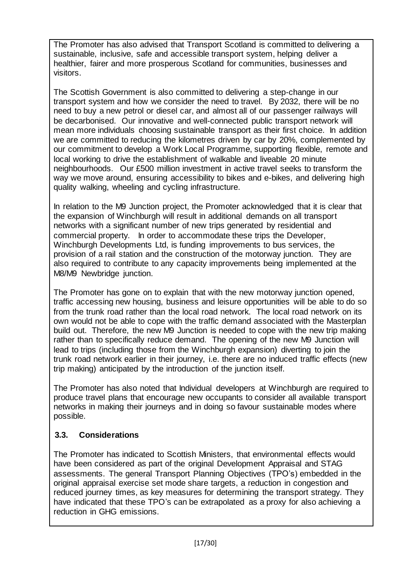The Promoter has also advised that Transport Scotland is committed to delivering a sustainable, inclusive, safe and accessible transport system, helping deliver a healthier, fairer and more prosperous Scotland for communities, businesses and visitors.

The Scottish Government is also committed to delivering a step-change in our transport system and how we consider the need to travel. By 2032, there will be no need to buy a new petrol or diesel car, and almost all of our passenger railways will be decarbonised. Our innovative and well-connected public transport network will mean more individuals choosing sustainable transport as their first choice. In addition we are committed to reducing the kilometres driven by car by 20%, complemented by our commitment to develop a Work Local Programme, supporting flexible, remote and local working to drive the establishment of walkable and liveable 20 minute neighbourhoods. Our £500 million investment in active travel seeks to transform the way we move around, ensuring accessibility to bikes and e-bikes, and delivering high quality walking, wheeling and cycling infrastructure.

In relation to the M9 Junction project, the Promoter acknowledged that it is clear that the expansion of Winchburgh will result in additional demands on all transport networks with a significant number of new trips generated by residential and commercial property. In order to accommodate these trips the Developer, Winchburgh Developments Ltd, is funding improvements to bus services, the provision of a rail station and the construction of the motorway junction. They are also required to contribute to any capacity improvements being implemented at the M8/M9 Newbridge junction.

The Promoter has gone on to explain that with the new motorway junction opened, traffic accessing new housing, business and leisure opportunities will be able to do so from the trunk road rather than the local road network. The local road network on its own would not be able to cope with the traffic demand associated with the Masterplan build out. Therefore, the new M9 Junction is needed to cope with the new trip making rather than to specifically reduce demand. The opening of the new M9 Junction will lead to trips (including those from the Winchburgh expansion) diverting to join the trunk road network earlier in their journey, i.e. there are no induced traffic effects (new trip making) anticipated by the introduction of the junction itself.

The Promoter has also noted that Individual developers at Winchburgh are required to produce travel plans that encourage new occupants to consider all available transport networks in making their journeys and in doing so favour sustainable modes where possible.

## **3.3. Considerations**

The Promoter has indicated to Scottish Ministers, that environmental effects would have been considered as part of the original Development Appraisal and STAG assessments. The general Transport Planning Objectives (TPO's) embedded in the original appraisal exercise set mode share targets, a reduction in congestion and reduced journey times, as key measures for determining the transport strategy. They have indicated that these TPO's can be extrapolated as a proxy for also achieving a reduction in GHG emissions.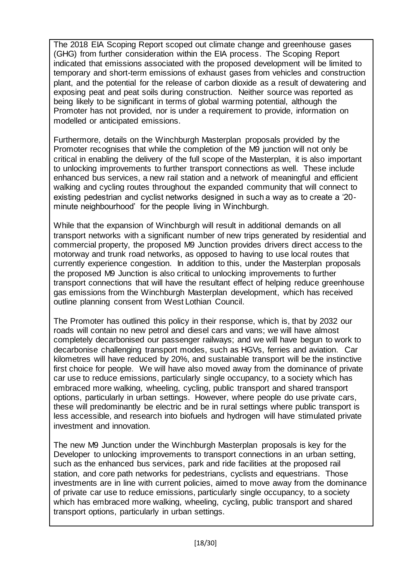The 2018 EIA Scoping Report scoped out climate change and greenhouse gases (GHG) from further consideration within the EIA process. The Scoping Report indicated that emissions associated with the proposed development will be limited to temporary and short-term emissions of exhaust gases from vehicles and construction plant, and the potential for the release of carbon dioxide as a result of dewatering and exposing peat and peat soils during construction. Neither source was reported as being likely to be significant in terms of global warming potential, although the Promoter has not provided, nor is under a requirement to provide, information on modelled or anticipated emissions.

Furthermore, details on the Winchburgh Masterplan proposals provided by the Promoter recognises that while the completion of the M9 junction will not only be critical in enabling the delivery of the full scope of the Masterplan, it is also important to unlocking improvements to further transport connections as well. These include enhanced bus services, a new rail station and a network of meaningful and efficient walking and cycling routes throughout the expanded community that will connect to existing pedestrian and cyclist networks designed in such a way as to create a '20 minute neighbourhood' for the people living in Winchburgh.

While that the expansion of Winchburgh will result in additional demands on all transport networks with a significant number of new trips generated by residential and commercial property, the proposed M9 Junction provides drivers direct access to the motorway and trunk road networks, as opposed to having to use local routes that currently experience congestion. In addition to this, under the Masterplan proposals the proposed M9 Junction is also critical to unlocking improvements to further transport connections that will have the resultant effect of helping reduce greenhouse gas emissions from the Winchburgh Masterplan development, which has received outline planning consent from West Lothian Council.

The Promoter has outlined this policy in their response, which is, that by 2032 our roads will contain no new petrol and diesel cars and vans; we will have almost completely decarbonised our passenger railways; and we will have begun to work to decarbonise challenging transport modes, such as HGVs, ferries and aviation. Car kilometres will have reduced by 20%, and sustainable transport will be the instinctive first choice for people. We will have also moved away from the dominance of private car use to reduce emissions, particularly single occupancy, to a society which has embraced more walking, wheeling, cycling, public transport and shared transport options, particularly in urban settings. However, where people do use private cars, these will predominantly be electric and be in rural settings where public transport is less accessible, and research into biofuels and hydrogen will have stimulated private investment and innovation.

The new M9 Junction under the Winchburgh Masterplan proposals is key for the Developer to unlocking improvements to transport connections in an urban setting, such as the enhanced bus services, park and ride facilities at the proposed rail station, and core path networks for pedestrians, cyclists and equestrians. Those investments are in line with current policies, aimed to move away from the dominance of private car use to reduce emissions, particularly single occupancy, to a society which has embraced more walking, wheeling, cycling, public transport and shared transport options, particularly in urban settings.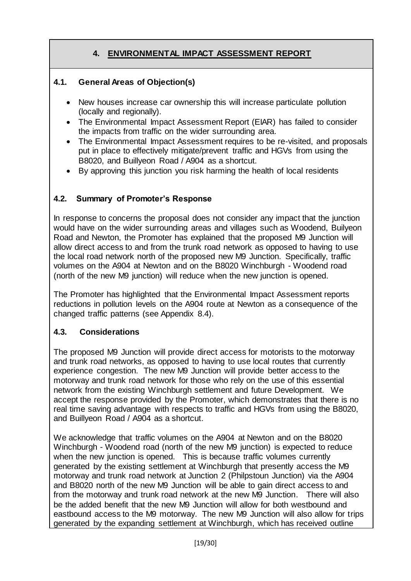## **4. ENVIRONMENTAL IMPACT ASSESSMENT REPORT**

### **4.1. General Areas of Objection(s)**

- New houses increase car ownership this will increase particulate pollution (locally and regionally).
- The Environmental Impact Assessment Report (EIAR) has failed to consider the impacts from traffic on the wider surrounding area.
- The Environmental Impact Assessment requires to be re-visited, and proposals put in place to effectively mitigate/prevent traffic and HGVs from using the B8020, and Buillyeon Road / A904 as a shortcut.
- By approving this junction you risk harming the health of local residents

### **4.2. Summary of Promoter's Response**

In response to concerns the proposal does not consider any impact that the junction would have on the wider surrounding areas and villages such as Woodend, Builyeon Road and Newton, the Promoter has explained that the proposed M9 Junction will allow direct access to and from the trunk road network as opposed to having to use the local road network north of the proposed new M9 Junction. Specifically, traffic volumes on the A904 at Newton and on the B8020 Winchburgh - Woodend road (north of the new M9 junction) will reduce when the new junction is opened.

The Promoter has highlighted that the Environmental Impact Assessment reports reductions in pollution levels on the A904 route at Newton as a consequence of the changed traffic patterns (see Appendix 8.4).

#### **4.3. Considerations**

The proposed M9 Junction will provide direct access for motorists to the motorway and trunk road networks, as opposed to having to use local routes that currently experience congestion. The new M9 Junction will provide better access to the motorway and trunk road network for those who rely on the use of this essential network from the existing Winchburgh settlement and future Development. We accept the response provided by the Promoter, which demonstrates that there is no real time saving advantage with respects to traffic and HGVs from using the B8020, and Buillyeon Road / A904 as a shortcut.

We acknowledge that traffic volumes on the A904 at Newton and on the B8020 Winchburgh - Woodend road (north of the new M9 junction) is expected to reduce when the new junction is opened. This is because traffic volumes currently generated by the existing settlement at Winchburgh that presently access the M9 motorway and trunk road network at Junction 2 (Philpstoun Junction) via the A904 and B8020 north of the new M9 Junction will be able to gain direct access to and from the motorway and trunk road network at the new M9 Junction. There will also be the added benefit that the new M9 Junction will allow for both westbound and eastbound access to the M9 motorway. The new M9 Junction will also allow for trips generated by the expanding settlement at Winchburgh, which has received outline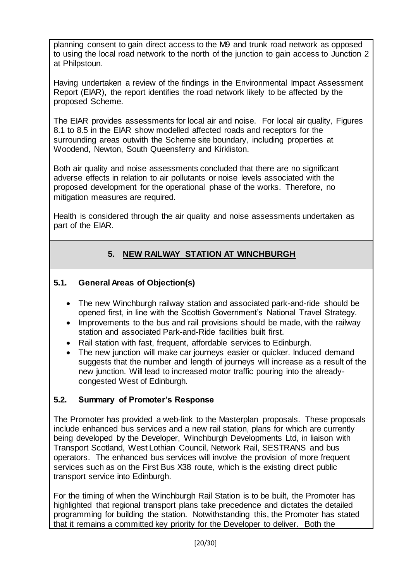planning consent to gain direct access to the M9 and trunk road network as opposed to using the local road network to the north of the junction to gain access to Junction 2 at Philpstoun.

Having undertaken a review of the findings in the Environmental Impact Assessment Report (EIAR), the report identifies the road network likely to be affected by the proposed Scheme.

The EIAR provides assessments for local air and noise. For local air quality, Figures 8.1 to 8.5 in the EIAR show modelled affected roads and receptors for the surrounding areas outwith the Scheme site boundary, including properties at Woodend, Newton, South Queensferry and Kirkliston.

Both air quality and noise assessments concluded that there are no significant adverse effects in relation to air pollutants or noise levels associated with the proposed development for the operational phase of the works. Therefore, no mitigation measures are required.

Health is considered through the air quality and noise assessments undertaken as part of the EIAR.

## **5. NEW RAILWAY STATION AT WINCHBURGH**

### **5.1. General Areas of Objection(s)**

- The new Winchburgh railway station and associated park-and-ride should be opened first, in line with the Scottish Government's National Travel Strategy.
- Improvements to the bus and rail provisions should be made, with the railway station and associated Park-and-Ride facilities built first.
- Rail station with fast, frequent, affordable services to Edinburgh.
- The new junction will make car journeys easier or quicker. Induced demand suggests that the number and length of journeys will increase as a result of the new junction. Will lead to increased motor traffic pouring into the alreadycongested West of Edinburgh.

#### **5.2. Summary of Promoter's Response**

The Promoter has provided a web-link to the Masterplan proposals. These proposals include enhanced bus services and a new rail station, plans for which are currently being developed by the Developer, Winchburgh Developments Ltd, in liaison with Transport Scotland, West Lothian Council, Network Rail, SESTRANS and bus operators. The enhanced bus services will involve the provision of more frequent services such as on the First Bus X38 route, which is the existing direct public transport service into Edinburgh.

For the timing of when the Winchburgh Rail Station is to be built, the Promoter has highlighted that regional transport plans take precedence and dictates the detailed programming for building the station. Notwithstanding this, the Promoter has stated that it remains a committed key priority for the Developer to deliver. Both the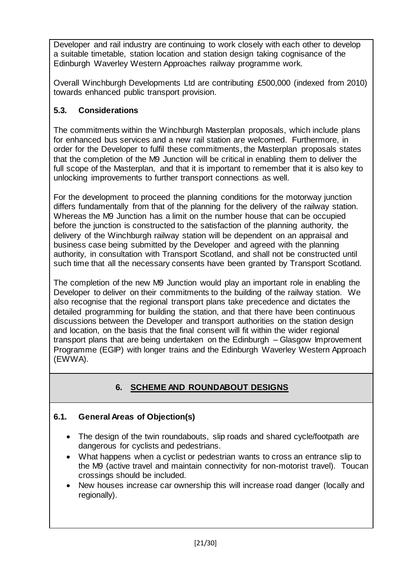Developer and rail industry are continuing to work closely with each other to develop a suitable timetable, station location and station design taking cognisance of the Edinburgh Waverley Western Approaches railway programme work.

Overall Winchburgh Developments Ltd are contributing £500,000 (indexed from 2010) towards enhanced public transport provision.

## **5.3. Considerations**

The commitments within the Winchburgh Masterplan proposals, which include plans for enhanced bus services and a new rail station are welcomed. Furthermore, in order for the Developer to fulfil these commitments, the Masterplan proposals states that the completion of the M9 Junction will be critical in enabling them to deliver the full scope of the Masterplan, and that it is important to remember that it is also key to unlocking improvements to further transport connections as well.

For the development to proceed the planning conditions for the motorway junction differs fundamentally from that of the planning for the delivery of the railway station. Whereas the M9 Junction has a limit on the number house that can be occupied before the junction is constructed to the satisfaction of the planning authority, the delivery of the Winchburgh railway station will be dependent on an appraisal and business case being submitted by the Developer and agreed with the planning authority, in consultation with Transport Scotland, and shall not be constructed until such time that all the necessary consents have been granted by Transport Scotland.

The completion of the new M9 Junction would play an important role in enabling the Developer to deliver on their commitments to the building of the railway station. We also recognise that the regional transport plans take precedence and dictates the detailed programming for building the station, and that there have been continuous discussions between the Developer and transport authorities on the station design and location, on the basis that the final consent will fit within the wider regional transport plans that are being undertaken on the Edinburgh – Glasgow Improvement Programme (EGIP) with longer trains and the Edinburgh Waverley Western Approach (EWWA).

# **6. SCHEME AND ROUNDABOUT DESIGNS**

## **6.1. General Areas of Objection(s)**

- The design of the twin roundabouts, slip roads and shared cycle/footpath are dangerous for cyclists and pedestrians.
- What happens when a cyclist or pedestrian wants to cross an entrance slip to the M9 (active travel and maintain connectivity for non-motorist travel). Toucan crossings should be included.
- New houses increase car ownership this will increase road danger (locally and regionally).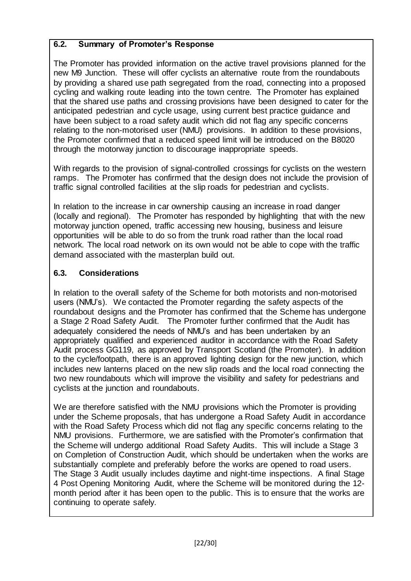### **6.2. Summary of Promoter's Response**

The Promoter has provided information on the active travel provisions planned for the new M9 Junction. These will offer cyclists an alternative route from the roundabouts by providing a shared use path segregated from the road, connecting into a proposed cycling and walking route leading into the town centre. The Promoter has explained that the shared use paths and crossing provisions have been designed to cater for the anticipated pedestrian and cycle usage, using current best practice guidance and have been subject to a road safety audit which did not flag any specific concerns relating to the non-motorised user (NMU) provisions. In addition to these provisions, the Promoter confirmed that a reduced speed limit will be introduced on the B8020 through the motorway junction to discourage inappropriate speeds.

With regards to the provision of signal-controlled crossings for cyclists on the western ramps. The Promoter has confirmed that the design does not include the provision of traffic signal controlled facilities at the slip roads for pedestrian and cyclists.

In relation to the increase in car ownership causing an increase in road danger (locally and regional). The Promoter has responded by highlighting that with the new motorway junction opened, traffic accessing new housing, business and leisure opportunities will be able to do so from the trunk road rather than the local road network. The local road network on its own would not be able to cope with the traffic demand associated with the masterplan build out.

## **6.3. Considerations**

In relation to the overall safety of the Scheme for both motorists and non-motorised users (NMU's). We contacted the Promoter regarding the safety aspects of the roundabout designs and the Promoter has confirmed that the Scheme has undergone a Stage 2 Road Safety Audit. The Promoter further confirmed that the Audit has adequately considered the needs of NMU's and has been undertaken by an appropriately qualified and experienced auditor in accordance with the Road Safety Audit process GG119, as approved by Transport Scotland (the Promoter). In addition to the cycle/footpath, there is an approved lighting design for the new junction, which includes new lanterns placed on the new slip roads and the local road connecting the two new roundabouts which will improve the visibility and safety for pedestrians and cyclists at the junction and roundabouts.

We are therefore satisfied with the NMU provisions which the Promoter is providing under the Scheme proposals, that has undergone a Road Safety Audit in accordance with the Road Safety Process which did not flag any specific concerns relating to the NMU provisions. Furthermore, we are satisfied with the Promoter's confirmation that the Scheme will undergo additional Road Safety Audits. This will include a Stage 3 on Completion of Construction Audit, which should be undertaken when the works are substantially complete and preferably before the works are opened to road users. The Stage 3 Audit usually includes daytime and night-time inspections. A final Stage 4 Post Opening Monitoring Audit, where the Scheme will be monitored during the 12 month period after it has been open to the public. This is to ensure that the works are continuing to operate safely.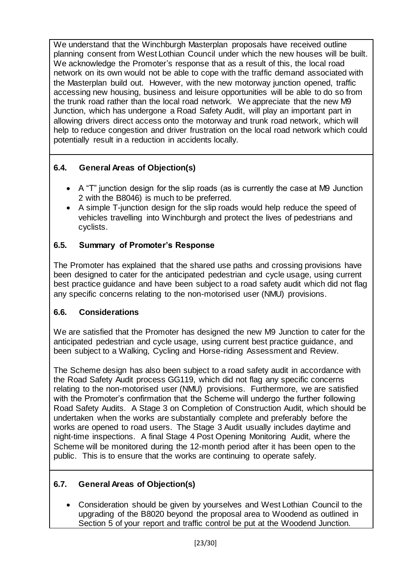We understand that the Winchburgh Masterplan proposals have received outline planning consent from West Lothian Council under which the new houses will be built. We acknowledge the Promoter's response that as a result of this, the local road network on its own would not be able to cope with the traffic demand associated with the Masterplan build out. However, with the new motorway junction opened, traffic accessing new housing, business and leisure opportunities will be able to do so from the trunk road rather than the local road network. We appreciate that the new M9 Junction, which has undergone a Road Safety Audit, will play an important part in allowing drivers direct access onto the motorway and trunk road network, which will help to reduce congestion and driver frustration on the local road network which could potentially result in a reduction in accidents locally.

## **6.4. General Areas of Objection(s)**

- A "T" junction design for the slip roads (as is currently the case at M9 Junction 2 with the B8046) is much to be preferred.
- A simple T-junction design for the slip roads would help reduce the speed of vehicles travelling into Winchburgh and protect the lives of pedestrians and cyclists.

### **6.5. Summary of Promoter's Response**

The Promoter has explained that the shared use paths and crossing provisions have been designed to cater for the anticipated pedestrian and cycle usage, using current best practice guidance and have been subject to a road safety audit which did not flag any specific concerns relating to the non-motorised user (NMU) provisions.

### **6.6. Considerations**

We are satisfied that the Promoter has designed the new M9 Junction to cater for the anticipated pedestrian and cycle usage, using current best practice guidance, and been subject to a Walking, Cycling and Horse-riding Assessment and Review.

The Scheme design has also been subject to a road safety audit in accordance with the Road Safety Audit process GG119, which did not flag any specific concerns relating to the non-motorised user (NMU) provisions. Furthermore, we are satisfied with the Promoter's confirmation that the Scheme will undergo the further following Road Safety Audits. A Stage 3 on Completion of Construction Audit, which should be undertaken when the works are substantially complete and preferably before the works are opened to road users. The Stage 3 Audit usually includes daytime and night-time inspections. A final Stage 4 Post Opening Monitoring Audit, where the Scheme will be monitored during the 12-month period after it has been open to the public. This is to ensure that the works are continuing to operate safely.

### **6.7. General Areas of Objection(s)**

 Consideration should be given by yourselves and West Lothian Council to the upgrading of the B8020 beyond the proposal area to Woodend as outlined in Section 5 of your report and traffic control be put at the Woodend Junction.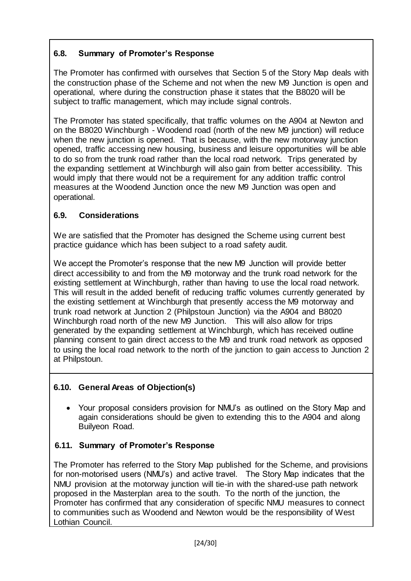## **6.8. Summary of Promoter's Response**

The Promoter has confirmed with ourselves that Section 5 of the Story Map deals with the construction phase of the Scheme and not when the new M9 Junction is open and operational, where during the construction phase it states that the B8020 will be subject to traffic management, which may include signal controls.

The Promoter has stated specifically, that traffic volumes on the A904 at Newton and on the B8020 Winchburgh - Woodend road (north of the new M9 junction) will reduce when the new junction is opened. That is because, with the new motorway junction opened, traffic accessing new housing, business and leisure opportunities will be able to do so from the trunk road rather than the local road network. Trips generated by the expanding settlement at Winchburgh will also gain from better accessibility. This would imply that there would not be a requirement for any addition traffic control measures at the Woodend Junction once the new M9 Junction was open and operational.

### **6.9. Considerations**

We are satisfied that the Promoter has designed the Scheme using current best practice guidance which has been subject to a road safety audit.

We accept the Promoter's response that the new M9 Junction will provide better direct accessibility to and from the M9 motorway and the trunk road network for the existing settlement at Winchburgh, rather than having to use the local road network. This will result in the added benefit of reducing traffic volumes currently generated by the existing settlement at Winchburgh that presently access the M9 motorway and trunk road network at Junction 2 (Philpstoun Junction) via the A904 and B8020 Winchburgh road north of the new M9 Junction. This will also allow for trips generated by the expanding settlement at Winchburgh, which has received outline planning consent to gain direct access to the M9 and trunk road network as opposed to using the local road network to the north of the junction to gain access to Junction 2 at Philpstoun.

### **6.10. General Areas of Objection(s)**

 Your proposal considers provision for NMU's as outlined on the Story Map and again considerations should be given to extending this to the A904 and along Builyeon Road.

### **6.11. Summary of Promoter's Response**

The Promoter has referred to the Story Map published for the Scheme, and provisions for non-motorised users (NMU's) and active travel. The Story Map indicates that the NMU provision at the motorway junction will tie-in with the shared-use path network proposed in the Masterplan area to the south. To the north of the junction, the Promoter has confirmed that any consideration of specific NMU measures to connect to communities such as Woodend and Newton would be the responsibility of West Lothian Council.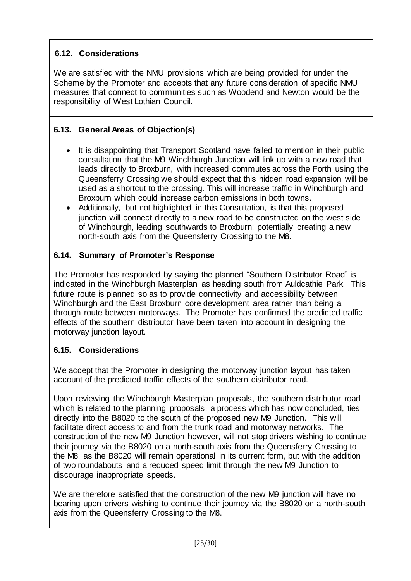## **6.12. Considerations**

We are satisfied with the NMU provisions which are being provided for under the Scheme by the Promoter and accepts that any future consideration of specific NMU measures that connect to communities such as Woodend and Newton would be the responsibility of West Lothian Council.

## **6.13. General Areas of Objection(s)**

- It is disappointing that Transport Scotland have failed to mention in their public consultation that the M9 Winchburgh Junction will link up with a new road that leads directly to Broxburn, with increased commutes across the Forth using the Queensferry Crossing we should expect that this hidden road expansion will be used as a shortcut to the crossing. This will increase traffic in Winchburgh and Broxburn which could increase carbon emissions in both towns.
- Additionally, but not highlighted in this Consultation, is that this proposed junction will connect directly to a new road to be constructed on the west side of Winchburgh, leading southwards to Broxburn; potentially creating a new north-south axis from the Queensferry Crossing to the M8.

### **6.14. Summary of Promoter's Response**

The Promoter has responded by saying the planned "Southern Distributor Road" is indicated in the Winchburgh Masterplan as heading south from Auldcathie Park. This future route is planned so as to provide connectivity and accessibility between Winchburgh and the East Broxburn core development area rather than being a through route between motorways. The Promoter has confirmed the predicted traffic effects of the southern distributor have been taken into account in designing the motorway junction layout.

## **6.15. Considerations**

We accept that the Promoter in designing the motorway junction layout has taken account of the predicted traffic effects of the southern distributor road.

Upon reviewing the Winchburgh Masterplan proposals, the southern distributor road which is related to the planning proposals, a process which has now concluded, ties directly into the B8020 to the south of the proposed new M9 Junction. This will facilitate direct access to and from the trunk road and motorway networks. The construction of the new M9 Junction however, will not stop drivers wishing to continue their journey via the B8020 on a north-south axis from the Queensferry Crossing to the M8, as the B8020 will remain operational in its current form, but with the addition of two roundabouts and a reduced speed limit through the new M9 Junction to discourage inappropriate speeds.

We are therefore satisfied that the construction of the new M9 junction will have no bearing upon drivers wishing to continue their journey via the B8020 on a north-south axis from the Queensferry Crossing to the M8.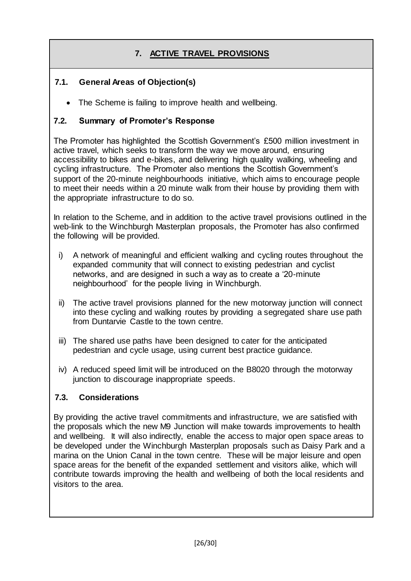# **7. ACTIVE TRAVEL PROVISIONS**

### **7.1. General Areas of Objection(s)**

• The Scheme is failing to improve health and wellbeing.

### **7.2. Summary of Promoter's Response**

The Promoter has highlighted the Scottish Government's £500 million investment in active travel, which seeks to transform the way we move around, ensuring accessibility to bikes and e-bikes, and delivering high quality walking, wheeling and cycling infrastructure. The Promoter also mentions the Scottish Government's support of the 20-minute neighbourhoods initiative, which aims to encourage people to meet their needs within a 20 minute walk from their house by providing them with the appropriate infrastructure to do so.

In relation to the Scheme, and in addition to the active travel provisions outlined in the web-link to the Winchburgh Masterplan proposals, the Promoter has also confirmed the following will be provided.

- i) A network of meaningful and efficient walking and cycling routes throughout the expanded community that will connect to existing pedestrian and cyclist networks, and are designed in such a way as to create a '20-minute neighbourhood' for the people living in Winchburgh.
- ii) The active travel provisions planned for the new motorway junction will connect into these cycling and walking routes by providing a segregated share use path from Duntarvie Castle to the town centre.
- iii) The shared use paths have been designed to cater for the anticipated pedestrian and cycle usage, using current best practice guidance.
- iv) A reduced speed limit will be introduced on the B8020 through the motorway junction to discourage inappropriate speeds.

#### **7.3. Considerations**

By providing the active travel commitments and infrastructure, we are satisfied with the proposals which the new M9 Junction will make towards improvements to health and wellbeing. It will also indirectly, enable the access to major open space areas to be developed under the Winchburgh Masterplan proposals such as Daisy Park and a marina on the Union Canal in the town centre. These will be major leisure and open space areas for the benefit of the expanded settlement and visitors alike, which will contribute towards improving the health and wellbeing of both the local residents and visitors to the area.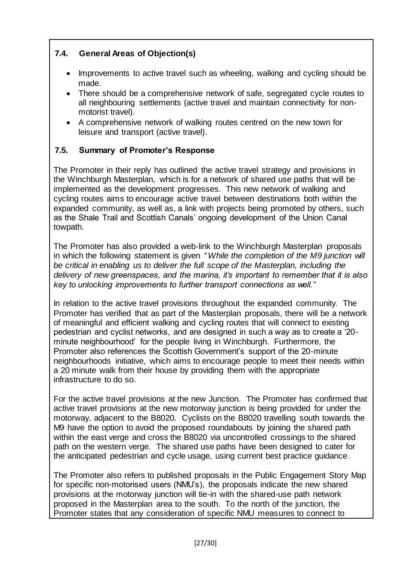## **7.4. General Areas of Objection(s)**

- Improvements to active travel such as wheeling, walking and cycling should be made.
- There should be a comprehensive network of safe, segregated cycle routes to all neighbouring settlements (active travel and maintain connectivity for nonmotorist travel).
- A comprehensive network of walking routes centred on the new town for leisure and transport (active travel).

### **7.5. Summary of Promoter's Response**

The Promoter in their reply has outlined the active travel strategy and provisions in the Winchburgh Masterplan, which is for a network of shared use paths that will be implemented as the development progresses. This new network of walking and cycling routes aims to encourage active travel between destinations both within the expanded community, as well as, a link with projects being promoted by others, such as the Shale Trail and Scottish Canals' ongoing development of the Union Canal towpath.

The Promoter has also provided a web-link to the Winchburgh Masterplan proposals in which the following statement is given *" While the completion of the M9 junction will be critical in enabling us to deliver the full scope of the Masterplan, including the delivery of new greenspaces, and the marina, it's important to remember that it is also key to unlocking improvements to further transport connections as well."*

In relation to the active travel provisions throughout the expanded community. The Promoter has verified that as part of the Masterplan proposals, there will be a network of meaningful and efficient walking and cycling routes that will connect to existing pedestrian and cyclist networks, and are designed in such a way as to create a '20 minute neighbourhood' for the people living in Winchburgh. Furthermore, the Promoter also references the Scottish Government's support of the 20-minute neighbourhoods initiative, which aims to encourage people to meet their needs within a 20 minute walk from their house by providing them with the appropriate infrastructure to do so.

For the active travel provisions at the new Junction. The Promoter has confirmed that active travel provisions at the new motorway junction is being provided for under the motorway, adjacent to the B8020. Cyclists on the B8020 travelling south towards the M9 have the option to avoid the proposed roundabouts by joining the shared path within the east verge and cross the B8020 via uncontrolled crossings to the shared path on the western verge. The shared use paths have been designed to cater for the anticipated pedestrian and cycle usage, using current best practice guidance.

The Promoter also refers to published proposals in the Public Engagement Story Map for specific non-motorised users (NMU's), the proposals indicate the new shared provisions at the motorway junction will tie-in with the shared-use path network proposed in the Masterplan area to the south. To the north of the junction, the Promoter states that any consideration of specific NMU measures to connect to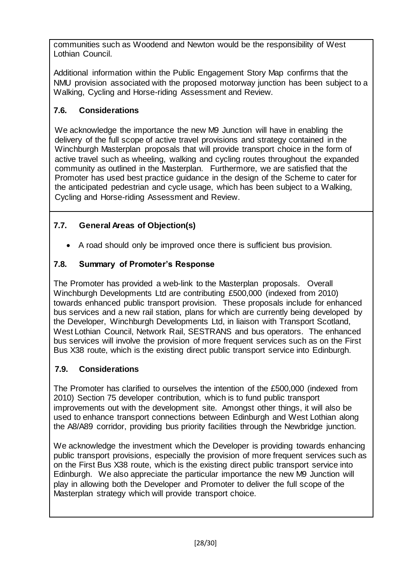communities such as Woodend and Newton would be the responsibility of West Lothian Council.

Additional information within the Public Engagement Story Map confirms that the NMU provision associated with the proposed motorway junction has been subject to a Walking, Cycling and Horse-riding Assessment and Review.

## **7.6. Considerations**

We acknowledge the importance the new M9 Junction will have in enabling the delivery of the full scope of active travel provisions and strategy contained in the Winchburgh Masterplan proposals that will provide transport choice in the form of active travel such as wheeling, walking and cycling routes throughout the expanded community as outlined in the Masterplan.Furthermore, we are satisfied that the Promoter has used best practice guidance in the design of the Scheme to cater for the anticipated pedestrian and cycle usage, which has been subject to a Walking, Cycling and Horse-riding Assessment and Review.

## **7.7. General Areas of Objection(s)**

A road should only be improved once there is sufficient bus provision.

## **7.8. Summary of Promoter's Response**

The Promoter has provided a web-link to the Masterplan proposals. Overall Winchburgh Developments Ltd are contributing £500,000 (indexed from 2010) towards enhanced public transport provision. These proposals include for enhanced bus services and a new rail station, plans for which are currently being developed by the Developer, Winchburgh Developments Ltd, in liaison with Transport Scotland, West Lothian Council, Network Rail, SESTRANS and bus operators. The enhanced bus services will involve the provision of more frequent services such as on the First Bus X38 route, which is the existing direct public transport service into Edinburgh.

## **7.9. Considerations**

The Promoter has clarified to ourselves the intention of the £500,000 (indexed from 2010) Section 75 developer contribution, which is to fund public transport improvements out with the development site. Amongst other things, it will also be used to enhance transport connections between Edinburgh and West Lothian along the A8/A89 corridor, providing bus priority facilities through the Newbridge junction.

We acknowledge the investment which the Developer is providing towards enhancing public transport provisions, especially the provision of more frequent services such as on the First Bus X38 route, which is the existing direct public transport service into Edinburgh. We also appreciate the particular importance the new M9 Junction will play in allowing both the Developer and Promoter to deliver the full scope of the Masterplan strategy which will provide transport choice.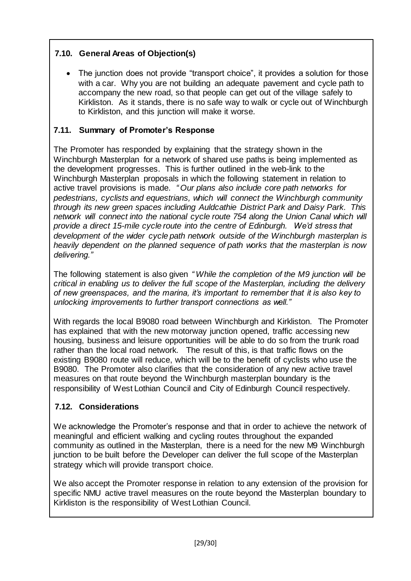## **7.10. General Areas of Objection(s)**

• The junction does not provide "transport choice", it provides a solution for those with a car. Why you are not building an adequate pavement and cycle path to accompany the new road, so that people can get out of the village safely to Kirkliston. As it stands, there is no safe way to walk or cycle out of Winchburgh to Kirkliston, and this junction will make it worse.

### **7.11. Summary of Promoter's Response**

The Promoter has responded by explaining that the strategy shown in the Winchburgh Masterplan for a network of shared use paths is being implemented as the development progresses. This is further outlined in the web-link to the Winchburgh Masterplan proposals in which the following statement in relation to active travel provisions is made. *" Our plans also include core path networks for pedestrians, cyclists and equestrians, which will connect the Winchburgh community through its new green spaces including Auldcathie District Park and Daisy Park. This network will connect into the national cycle route 754 along the Union Canal which will provide a direct 15-mile cycle route into the centre of Edinburgh. We'd stress that development of the wider cycle path network outside of the Winchburgh masterplan is heavily dependent on the planned sequence of path works that the masterplan is now delivering."*

The following statement is also given *" While the completion of the M9 junction will be critical in enabling us to deliver the full scope of the Masterplan, including the delivery of new greenspaces, and the marina, it's important to remember that it is also key to unlocking improvements to further transport connections as well."*

With regards the local B9080 road between Winchburgh and Kirkliston. The Promoter has explained that with the new motorway junction opened, traffic accessing new housing, business and leisure opportunities will be able to do so from the trunk road rather than the local road network. The result of this, is that traffic flows on the existing B9080 route will reduce, which will be to the benefit of cyclists who use the B9080. The Promoter also clarifies that the consideration of any new active travel measures on that route beyond the Winchburgh masterplan boundary is the responsibility of West Lothian Council and City of Edinburgh Council respectively.

### **7.12. Considerations**

We acknowledge the Promoter's response and that in order to achieve the network of meaningful and efficient walking and cycling routes throughout the expanded community as outlined in the Masterplan, there is a need for the new M9 Winchburgh junction to be built before the Developer can deliver the full scope of the Masterplan strategy which will provide transport choice.

We also accept the Promoter response in relation to any extension of the provision for specific NMU active travel measures on the route beyond the Masterplan boundary to Kirkliston is the responsibility of West Lothian Council.